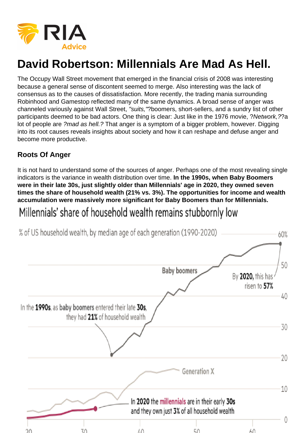The Occupy Wall Street movement that emerged in the financial crisis of 2008 was interesting because a general sense of discontent seemed to merge. Also interesting was the lack of consensus as to the causes of dissatisfaction. More recently, the trading mania surrounding Robinhood and Gamestop reflected many of the same dynamics. A broad sense of anger was channeled variously against Wall Street, "suits,"?boomers, short-sellers, and a sundry list of other participants deemed to be bad actors. One thing is clear: Just like in the 1976 movie, ?Network,??a lot of people are ?mad as hell.? That anger is a symptom of a bigger problem, however. Digging into its root causes reveals insights about society and how it can reshape and defuse anger and become more productive.

# Roots Of Anger

It is not hard to understand some of the sources of anger. Perhaps one of the most revealing single indicators is the variance in wealth distribution over time. In the 1990s, when Baby Boomers were in their late 30s, just slightly older than Millennials' age in 2020, they owned seven times the share of household wealth (21% vs. 3%). The opportunities for income and wealth accumulation were massively more significant for Baby Boomers than for Millennials.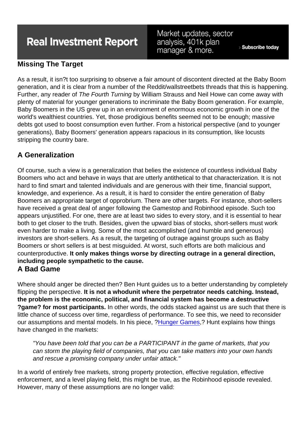# Missing The Target

As a result, it isn?t too surprising to observe a fair amount of discontent directed at the Baby Boom generation, and it is clear from a number of the Reddit/wallstreetbets threads that this is happening. Further, any reader of The Fourth Turning by William Strauss and Neil Howe can come away with plenty of material for younger generations to incriminate the Baby Boom generation. For example, Baby Boomers in the US grew up in an environment of enormous economic growth in one of the world's wealthiest countries. Yet, those prodigious benefits seemed not to be enough; massive debts got used to boost consumption even further. From a historical perspective (and to younger generations), Baby Boomers' generation appears rapacious in its consumption, like locusts stripping the country bare.

## A Generalization

Of course, such a view is a generalization that belies the existence of countless individual Baby Boomers who act and behave in ways that are utterly antithetical to that characterization. It is not hard to find smart and talented individuals and are generous with their time, financial support, knowledge, and experience. As a result, it is hard to consider the entire generation of Baby Boomers an appropriate target of opprobrium. There are other targets. For instance, short-sellers have received a great deal of anger following the Gamestop and Robinhood episode. Such too appears unjustified. For one, there are at least two sides to every story, and it is essential to hear both to get closer to the truth. Besides, given the upward bias of stocks, short-sellers must work even harder to make a living. Some of the most accomplished (and humble and generous) investors are short-sellers. As a result, the targeting of outrage against groups such as Baby Boomers or short sellers is at best misguided. At worst, such efforts are both malicious and counterproductive. It only makes things worse by directing outrage in a general direction, including people sympathetic to the cause.

## A Bad Game

Where should anger be directed then? Ben Hunt guides us to a better understanding by completely flipping the perspective. It is not a whodunit where the perpetrator needs catching. Instead, the problem is the economic, political, and financial system has become a destructive ?game? for most participants. In other words, the odds stacked against us are such that there is little chance of success over time, regardless of performance. To see this, we need to reconsider our assumptions and mental models. In his piece, [?Hunger Games,](https://www.epsilontheory.com/hunger-games/)? Hunt explains how things have changed in the markets:

"You have been told that you can be a PARTICIPANT in the game of markets, that you can storm the playing field of companies, that you can take matters into your own hands and rescue a promising company under unfair attack."

In a world of entirely free markets, strong property protection, effective regulation, effective enforcement, and a level playing field, this might be true, as the Robinhood episode revealed. However, many of these assumptions are no longer valid: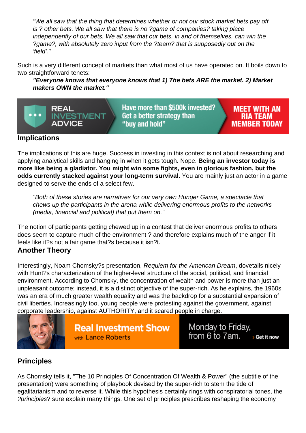"We all saw that the thing that determines whether or not our stock market bets pay off is ? other bets. We all saw that there is no ?game of companies? taking place independently of our bets. We all saw that our bets, in and of themselves, can win the ?game?, with absolutely zero input from the ?team? that is supposedly out on the 'field'."

Such is a very different concept of markets than what most of us have operated on. It boils down to two straightforward tenets:

"Everyone knows that everyone knows that 1) The bets ARE the market. 2) Market makers OWN the market."

#### Implications

The implications of this are huge. Success in investing in this context is not about researching and applying analytical skills and hanging in when it gets tough. Nope. Being an investor today is more like being a gladiator. You might win some fights, even in glorious fashion, but the odds currently stacked against your long-term survival. You are mainly just an actor in a game designed to serve the ends of a select few.

"Both of these stories are narratives for our very own Hunger Game, a spectacle that chews up the participants in the arena while delivering enormous profits to the networks (media, financial and political) that put them on."

The notion of participants getting chewed up in a contest that deliver enormous profits to others does seem to capture much of the environment ? and therefore explains much of the anger if it feels like it?s not a fair game that?s because it isn?t. Another Theory

Interestingly, Noam Chomsky?s presentation, Requiem for the American Dream, dovetails nicely with Hunt?s characterization of the higher-level structure of the social, political, and financial environment. According to Chomsky, the concentration of wealth and power is more than just an unpleasant outcome; instead, it is a distinct objective of the super-rich. As he explains, the 1960s was an era of much greater wealth equality and was the backdrop for a substantial expansion of civil liberties. Increasingly too, young people were protesting against the government, against corporate leadership, against AUTHORITY, and it scared people in charge.

#### **Principles**

As Chomsky tells it, "The 10 Principles Of Concentration Of Wealth & Power" (the subtitle of the presentation) were something of playbook devised by the super-rich to stem the tide of egalitarianism and to reverse it. While this hypothesis certainly rings with conspiratorial tones, the ?principles? sure explain many things. One set of principles prescribes reshaping the economy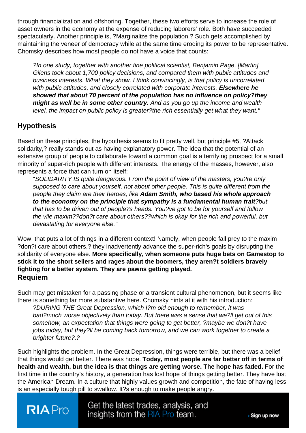through financialization and offshoring. Together, these two efforts serve to increase the role of asset owners in the economy at the expense of reducing laborers' role. Both have succeeded spectacularly. Another principle is, ?Marginalize the population.? Such gets accomplished by maintaining the veneer of democracy while at the same time eroding its power to be representative. Chomsky describes how most people do not have a voice that counts:

?In one study, together with another fine political scientist, Benjamin Page, [Martin] Gilens took about 1,700 policy decisions, and compared them with public attitudes and business interests. What they show, I think convincingly, is that policy is uncorrelated with public attitudes, and closely correlated with corporate interests. Elsewhere he showed that about 70 percent of the population has no influence on policy?they might as well be in some other country. And as you go up the income and wealth level, the impact on public policy is greater?the rich essentially get what they want."

## **Hypothesis**

Based on these principles, the hypothesis seems to fit pretty well, but principle #5, ?Attack solidarity,? really stands out as having explanatory power. The idea that the potential of an extensive group of people to collaborate toward a common goal is a terrifying prospect for a small minority of super-rich people with different interests. The energy of the masses, however, also represents a force that can turn on itself:

"SOLIDARITY IS quite dangerous. From the point of view of the masters, you?re only supposed to care about yourself, not about other people. This is quite different from the people they claim are their heroes, like Adam Smith, who based his whole approach to the economy on the principle that sympathy is a fundamental human trait ?but that has to be driven out of people?s heads. You?ve got to be for yourself and follow the vile maxim??don?t care about others??which is okay for the rich and powerful, but devastating for everyone else."

Wow, that puts a lot of things in a different context! Namely, when people fall prey to the maxim ?don?t care about others,? they inadvertently advance the super-rich's goals by disrupting the solidarity of everyone else. More specifically, when someone puts huge bets on Gamestop to stick it to the short sellers and rages about the boomers, they aren?t soldiers bravely fighting for a better system. They are pawns getting played. Requiem

Such may get mistaken for a passing phase or a transient cultural phenomenon, but it seems like there is something far more substantive here. Chomsky hints at it with his introduction:

?DURING THE Great Depression, which I?m old enough to remember, it was bad?much worse objectively than today. But there was a sense that we?ll get out of this somehow, an expectation that things were going to get better, ?maybe we don?t have jobs today, but they?ll be coming back tomorrow, and we can work together to create a brighter future?.?

Such highlights the problem. In the Great Depression, things were terrible, but there was a belief that things would get better. There was hope. Today, most people are far better off in terms of health and wealth, but the idea is that things are getting worse. The hope has faded. For the first time in the country's history, a generation has lost hope of things getting better. They have lost the American Dream. In a culture that highly values growth and competition, the fate of having less is an especially tough pill to swallow. It?s enough to make people angry.